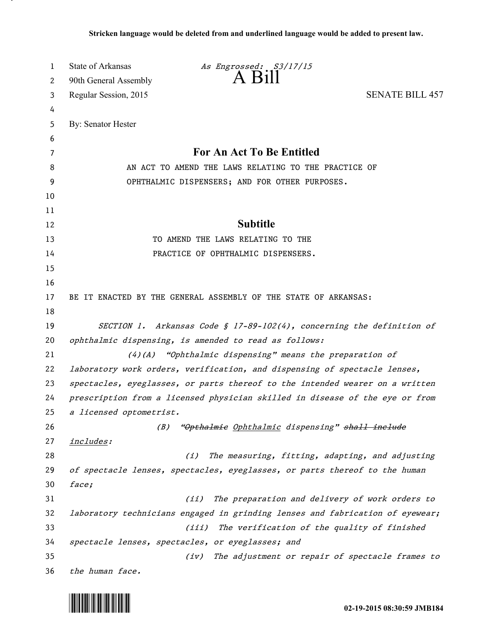| 1  | <b>State of Arkansas</b><br>As Engrossed: S3/17/15                            |                                                                              |  |
|----|-------------------------------------------------------------------------------|------------------------------------------------------------------------------|--|
| 2  | $A$ $B$ <sub>111</sub><br>90th General Assembly                               |                                                                              |  |
| 3  | Regular Session, 2015                                                         | <b>SENATE BILL 457</b>                                                       |  |
| 4  |                                                                               |                                                                              |  |
| 5  | By: Senator Hester                                                            |                                                                              |  |
| 6  |                                                                               |                                                                              |  |
| 7  |                                                                               | For An Act To Be Entitled                                                    |  |
| 8  | AN ACT TO AMEND THE LAWS RELATING TO THE PRACTICE OF                          |                                                                              |  |
| 9  | OPHTHALMIC DISPENSERS; AND FOR OTHER PURPOSES.                                |                                                                              |  |
| 10 |                                                                               |                                                                              |  |
| 11 |                                                                               |                                                                              |  |
| 12 | <b>Subtitle</b>                                                               |                                                                              |  |
| 13 | TO AMEND THE LAWS RELATING TO THE                                             |                                                                              |  |
| 14 | PRACTICE OF OPHTHALMIC DISPENSERS.                                            |                                                                              |  |
| 15 |                                                                               |                                                                              |  |
| 16 |                                                                               |                                                                              |  |
| 17 | BE IT ENACTED BY THE GENERAL ASSEMBLY OF THE STATE OF ARKANSAS:               |                                                                              |  |
| 18 |                                                                               |                                                                              |  |
| 19 | SECTION 1. Arkansas Code § 17-89-102(4), concerning the definition of         |                                                                              |  |
| 20 | ophthalmic dispensing, is amended to read as follows:                         |                                                                              |  |
| 21 | $(4)$ (A) "Ophthalmic dispensing" means the preparation of                    |                                                                              |  |
| 22 |                                                                               | laboratory work orders, verification, and dispensing of spectacle lenses,    |  |
| 23 | spectacles, eyeglasses, or parts thereof to the intended wearer on a written  |                                                                              |  |
| 24 |                                                                               | prescription from a licensed physician skilled in disease of the eye or from |  |
| 25 | a licensed optometrist.                                                       |                                                                              |  |
| 26 | (B)                                                                           | "Opthalmie Ophthalmic dispensing" shall include                              |  |
| 27 | <u>includes</u> :                                                             |                                                                              |  |
| 28 | (i)                                                                           | The measuring, fitting, adapting, and adjusting                              |  |
| 29 | of spectacle lenses, spectacles, eyeglasses, or parts thereof to the human    |                                                                              |  |
| 30 | face;                                                                         |                                                                              |  |
| 31 | (iii)                                                                         | The preparation and delivery of work orders to                               |  |
| 32 | laboratory technicians engaged in grinding lenses and fabrication of eyewear; |                                                                              |  |
| 33 | (iii)                                                                         | The verification of the quality of finished                                  |  |
| 34 |                                                                               | spectacle lenses, spectacles, or eyeglasses; and                             |  |
| 35 | (iv)                                                                          | The adjustment or repair of spectacle frames to                              |  |
| 36 | the human face.                                                               |                                                                              |  |



.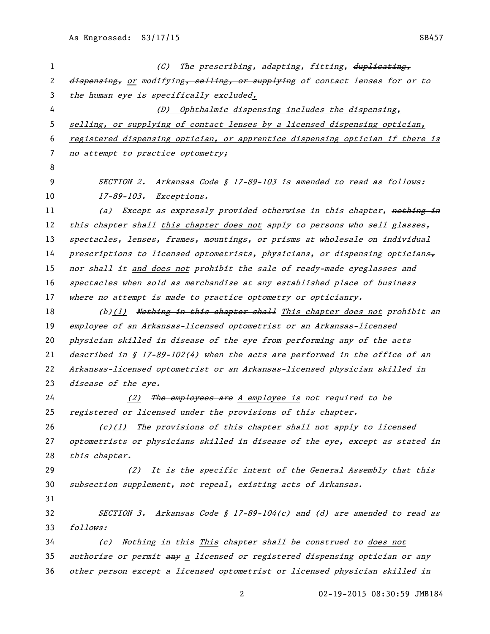| 1  | (C)<br>The prescribing, adapting, fitting, duplicating,                       |
|----|-------------------------------------------------------------------------------|
| 2  | dispensing, or modifying, selling, or supplying of contact lenses for or to   |
| 3  | the human eye is specifically excluded.                                       |
| 4  | (D) Ophthalmic dispensing includes the dispensing,                            |
| 5  | selling, or supplying of contact lenses by a licensed dispensing optician,    |
| 6  | registered dispensing optician, or apprentice dispensing optician if there is |
| 7  | no attempt to practice optometry;                                             |
| 8  |                                                                               |
| 9  | SECTION 2. Arkansas Code § 17-89-103 is amended to read as follows:           |
| 10 | $17 - 89 - 103.$<br><i>Exceptions.</i>                                        |
| 11 | (a) Except as expressly provided otherwise in this chapter, nothing in        |
| 12 | this chapter shall this chapter does not apply to persons who sell glasses,   |
| 13 | spectacles, lenses, frames, mountings, or prisms at wholesale on individual   |
| 14 | prescriptions to licensed optometrists, physicians, or dispensing opticians   |
| 15 | nor shall it and does not prohibit the sale of ready-made eyeglasses and      |
| 16 | spectacles when sold as merchandise at any established place of business      |
| 17 | where no attempt is made to practice optometry or opticianry.                 |
| 18 | (b)(1) Nothing in this chapter shall This chapter does not prohibit an        |
| 19 | employee of an Arkansas-licensed optometrist or an Arkansas-licensed          |
| 20 | physician skilled in disease of the eye from performing any of the acts       |
| 21 | described in § 17-89-102(4) when the acts are performed in the office of an   |
| 22 | Arkansas-licensed optometrist or an Arkansas-licensed physician skilled in    |
| 23 | disease of the eye.                                                           |
| 24 | (2) The employees are A employee is not required to be                        |
| 25 | registered or licensed under the provisions of this chapter.                  |
| 26 | $(c)(1)$ The provisions of this chapter shall not apply to licensed           |
| 27 | optometrists or physicians skilled in disease of the eye, except as stated in |
| 28 | this chapter.                                                                 |
| 29 | (2) It is the specific intent of the General Assembly that this               |
| 30 | subsection supplement, not repeal, existing acts of Arkansas.                 |
| 31 |                                                                               |
| 32 | SECTION 3. Arkansas Code § 17-89-104(c) and (d) are amended to read as        |
| 33 | follows:                                                                      |
| 34 | Nothing in this This chapter shall be construed to does not<br>(c)            |
| 35 | authorize or permit any a licensed or registered dispensing optician or any   |
| 36 | other person except a licensed optometrist or licensed physician skilled in   |

02-19-2015 08:30:59 JMB184